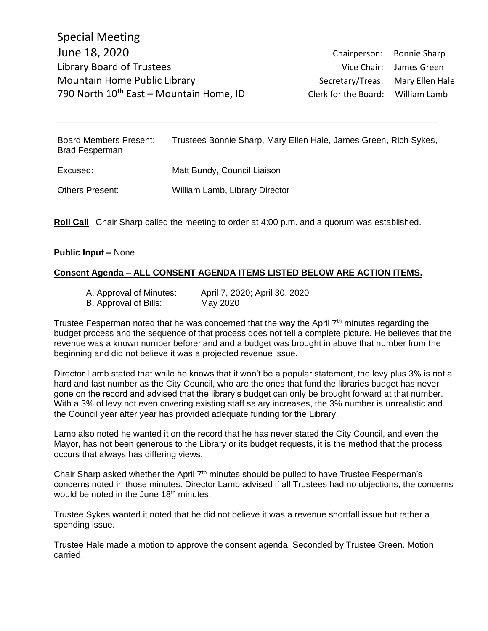Others Present: William Lamb, Library Director

Board Members Present: Trustees Bonnie Sharp, Mary Ellen Hale, James Green, Rich Sykes, Brad Fesperman Excused: Matt Bundy, Council Liaison

\_\_\_\_\_\_\_\_\_\_\_\_\_\_\_\_\_\_\_\_\_\_\_\_\_\_\_\_\_\_\_\_\_\_\_\_\_\_\_\_\_\_\_\_\_\_\_\_\_\_\_\_\_\_\_\_\_\_\_\_\_\_\_\_\_\_\_\_\_\_\_\_\_\_\_\_\_\_\_\_

#### **Public Input –** None

## **Consent Agenda – ALL CONSENT AGENDA ITEMS LISTED BELOW ARE ACTION ITEMS.**

**Roll Call** –Chair Sharp called the meeting to order at 4:00 p.m. and a quorum was established.

- B. Approval of Bills: May 2020
- A. Approval of Minutes: April 7, 2020; April 30, 2020

Trustee Fesperman noted that he was concerned that the way the April  $7<sup>th</sup>$  minutes regarding the budget process and the sequence of that process does not tell a complete picture. He believes that the revenue was a known number beforehand and a budget was brought in above that number from the beginning and did not believe it was a projected revenue issue.

Director Lamb stated that while he knows that it won't be a popular statement, the levy plus 3% is not a hard and fast number as the City Council, who are the ones that fund the libraries budget has never gone on the record and advised that the library's budget can only be brought forward at that number. With a 3% of levy not even covering existing staff salary increases, the 3% number is unrealistic and the Council year after year has provided adequate funding for the Library.

Lamb also noted he wanted it on the record that he has never stated the City Council, and even the Mayor, has not been generous to the Library or its budget requests, it is the method that the process occurs that always has differing views.

Chair Sharp asked whether the April  $7<sup>th</sup>$  minutes should be pulled to have Trustee Fesperman's concerns noted in those minutes. Director Lamb advised if all Trustees had no objections, the concerns would be noted in the June  $18<sup>th</sup>$  minutes.

Trustee Sykes wanted it noted that he did not believe it was a revenue shortfall issue but rather a spending issue.

Trustee Hale made a motion to approve the consent agenda. Seconded by Trustee Green. Motion carried.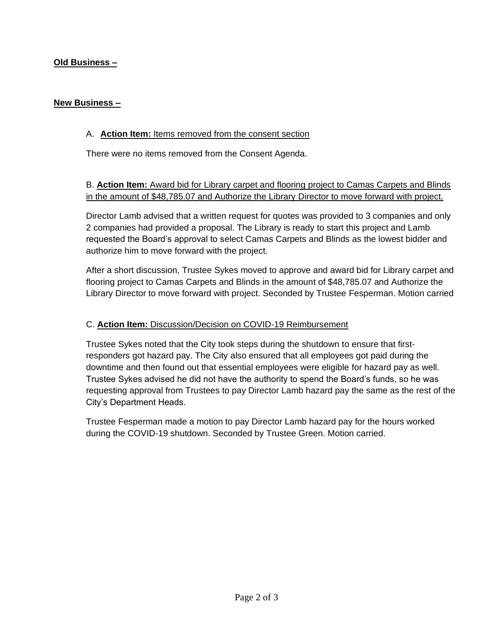# **Old Business –**

### **New Business –**

## A. **Action Item:** Items removed from the consent section

There were no items removed from the Consent Agenda.

B. **Action Item:** Award bid for Library carpet and flooring project to Camas Carpets and Blinds in the amount of \$48,785.07 and Authorize the Library Director to move forward with project.

Director Lamb advised that a written request for quotes was provided to 3 companies and only 2 companies had provided a proposal. The Library is ready to start this project and Lamb requested the Board's approval to select Camas Carpets and Blinds as the lowest bidder and authorize him to move forward with the project.

After a short discussion, Trustee Sykes moved to approve and award bid for Library carpet and flooring project to Camas Carpets and Blinds in the amount of \$48,785.07 and Authorize the Library Director to move forward with project. Seconded by Trustee Fesperman. Motion carried

## C. **Action Item:** Discussion/Decision on COVID-19 Reimbursement

Trustee Sykes noted that the City took steps during the shutdown to ensure that firstresponders got hazard pay. The City also ensured that all employees got paid during the downtime and then found out that essential employees were eligible for hazard pay as well. Trustee Sykes advised he did not have the authority to spend the Board's funds, so he was requesting approval from Trustees to pay Director Lamb hazard pay the same as the rest of the City's Department Heads.

Trustee Fesperman made a motion to pay Director Lamb hazard pay for the hours worked during the COVID-19 shutdown. Seconded by Trustee Green. Motion carried.